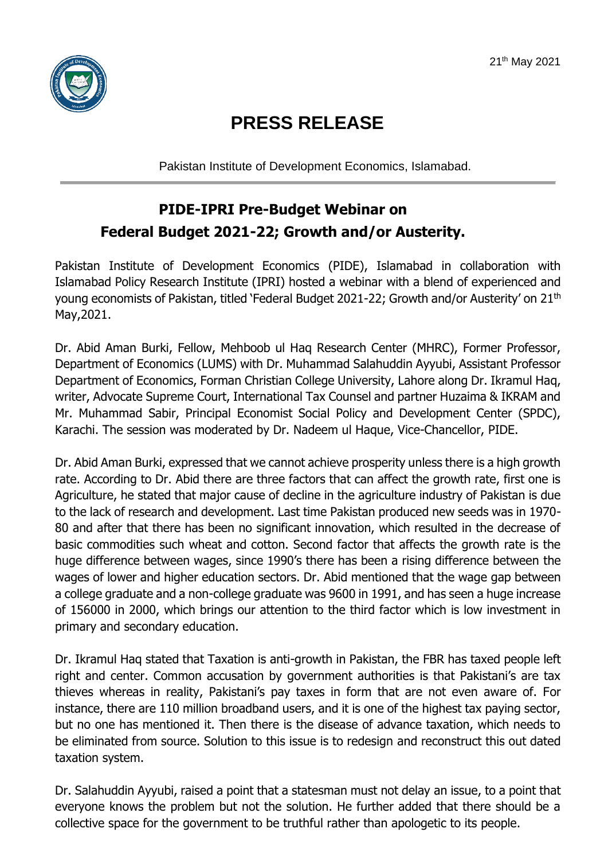

## **PRESS RELEASE**

Pakistan Institute of Development Economics, Islamabad.

## **PIDE-IPRI Pre-Budget Webinar on Federal Budget 2021-22; Growth and/or Austerity.**

Pakistan Institute of Development Economics (PIDE), Islamabad in collaboration with Islamabad Policy Research Institute (IPRI) hosted a webinar with a blend of experienced and young economists of Pakistan, titled 'Federal Budget 2021-22; Growth and/or Austerity' on 21<sup>th</sup> May,2021.

Dr. Abid Aman Burki, Fellow, Mehboob ul Haq Research Center (MHRC), Former Professor, Department of Economics (LUMS) with Dr. Muhammad Salahuddin Ayyubi, Assistant Professor Department of Economics, Forman Christian College University, Lahore along Dr. Ikramul Haq, writer, Advocate Supreme Court, International Tax Counsel and partner Huzaima & IKRAM and Mr. Muhammad Sabir, Principal Economist Social Policy and Development Center (SPDC), Karachi. The session was moderated by Dr. Nadeem ul Haque, Vice-Chancellor, PIDE.

Dr. Abid Aman Burki, expressed that we cannot achieve prosperity unless there is a high growth rate. According to Dr. Abid there are three factors that can affect the growth rate, first one is Agriculture, he stated that major cause of decline in the agriculture industry of Pakistan is due to the lack of research and development. Last time Pakistan produced new seeds was in 1970- 80 and after that there has been no significant innovation, which resulted in the decrease of basic commodities such wheat and cotton. Second factor that affects the growth rate is the huge difference between wages, since 1990's there has been a rising difference between the wages of lower and higher education sectors. Dr. Abid mentioned that the wage gap between a college graduate and a non-college graduate was 9600 in 1991, and has seen a huge increase of 156000 in 2000, which brings our attention to the third factor which is low investment in primary and secondary education.

Dr. Ikramul Haq stated that Taxation is anti-growth in Pakistan, the FBR has taxed people left right and center. Common accusation by government authorities is that Pakistani's are tax thieves whereas in reality, Pakistani's pay taxes in form that are not even aware of. For instance, there are 110 million broadband users, and it is one of the highest tax paying sector, but no one has mentioned it. Then there is the disease of advance taxation, which needs to be eliminated from source. Solution to this issue is to redesign and reconstruct this out dated taxation system.

Dr. Salahuddin Ayyubi, raised a point that a statesman must not delay an issue, to a point that everyone knows the problem but not the solution. He further added that there should be a collective space for the government to be truthful rather than apologetic to its people.